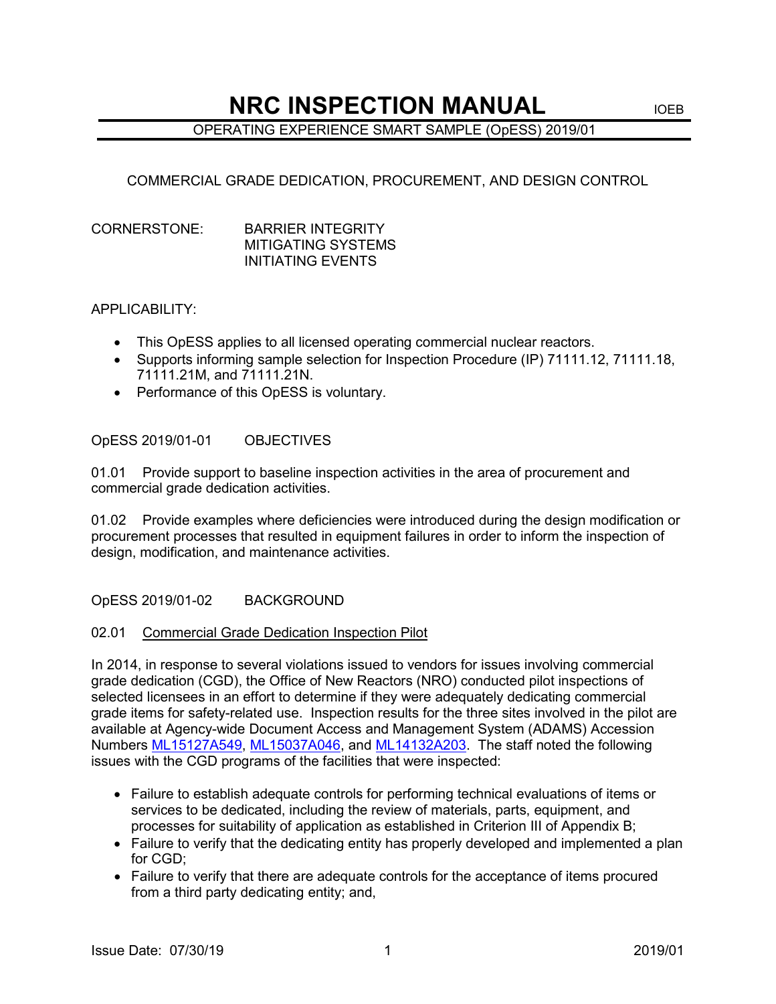# **NRC INSPECTION MANUAL IDEB**

## OPERATING EXPERIENCE SMART SAMPLE (OpESS) 2019/01

## COMMERCIAL GRADE DEDICATION, PROCUREMENT, AND DESIGN CONTROL

#### CORNERSTONE: BARRIER INTEGRITY MITIGATING SYSTEMS INITIATING EVENTS

#### APPLICABILITY:

- This OpESS applies to all licensed operating commercial nuclear reactors.
- Supports informing sample selection for Inspection Procedure (IP) 71111.12, 71111.18, 71111.21M, and 71111.21N.
- Performance of this OpESS is voluntary.

OpESS 2019/01-01 OBJECTIVES

01.01 Provide support to baseline inspection activities in the area of procurement and commercial grade dedication activities.

01.02 Provide examples where deficiencies were introduced during the design modification or procurement processes that resulted in equipment failures in order to inform the inspection of design, modification, and maintenance activities.

OpESS 2019/01-02 BACKGROUND

#### 02.01 Commercial Grade Dedication Inspection Pilot

In 2014, in response to several violations issued to vendors for issues involving commercial grade dedication (CGD), the Office of New Reactors (NRO) conducted pilot inspections of selected licensees in an effort to determine if they were adequately dedicating commercial grade items for safety-related use. Inspection results for the three sites involved in the pilot are available at Agency-wide Document Access and Management System (ADAMS) Accession Numbers [ML15127A549,](https://adamsxt.nrc.gov/AdamsXT/content/downloadContent.faces?objectStoreName=MainLibrary&vsId=%7b73EED1AD-59D5-4837-8DF6-E8FDB72B24BC%7d&ForceBrowserDownloadMgrPrompt=false) [ML15037A046,](https://adamsxt.nrc.gov/AdamsXT/content/downloadContent.faces?objectStoreName=MainLibrary&vsId=%7b870B00C2-0EC7-4118-84B2-2245B5C3FC24%7d&ForceBrowserDownloadMgrPrompt=false) and [ML14132A203.](https://adamsxt.nrc.gov/AdamsXT/content/downloadContent.faces?objectStoreName=MainLibrary&vsId=%7bB2956C5A-8257-4A85-BF92-8D3E17E4465B%7d&ForceBrowserDownloadMgrPrompt=false) The staff noted the following issues with the CGD programs of the facilities that were inspected:

- Failure to establish adequate controls for performing technical evaluations of items or services to be dedicated, including the review of materials, parts, equipment, and processes for suitability of application as established in Criterion III of Appendix B;
- Failure to verify that the dedicating entity has properly developed and implemented a plan for CGD;
- Failure to verify that there are adequate controls for the acceptance of items procured from a third party dedicating entity; and,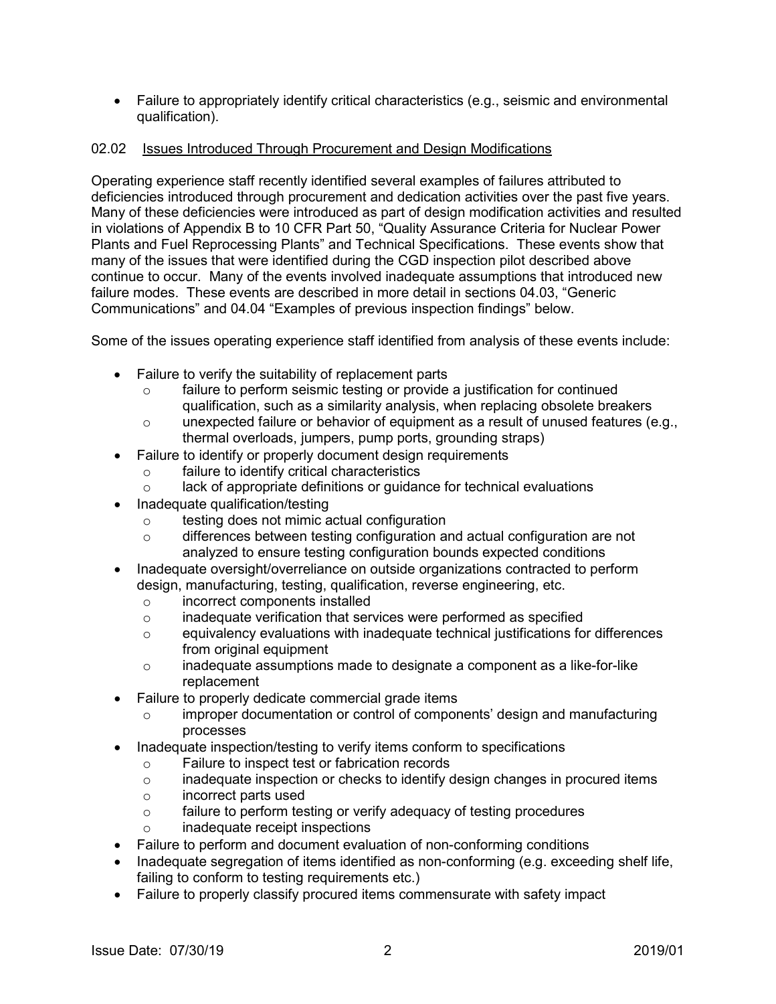• Failure to appropriately identify critical characteristics (e.g., seismic and environmental qualification).

### 02.02 Issues Introduced Through Procurement and Design Modifications

Operating experience staff recently identified several examples of failures attributed to deficiencies introduced through procurement and dedication activities over the past five years. Many of these deficiencies were introduced as part of design modification activities and resulted in violations of Appendix B to 10 CFR Part 50, "Quality Assurance Criteria for Nuclear Power Plants and Fuel Reprocessing Plants" and Technical Specifications. These events show that many of the issues that were identified during the CGD inspection pilot described above continue to occur. Many of the events involved inadequate assumptions that introduced new failure modes. These events are described in more detail in sections 04.03, "Generic Communications" and 04.04 "Examples of previous inspection findings" below.

Some of the issues operating experience staff identified from analysis of these events include:

- Failure to verify the suitability of replacement parts
	- o failure to perform seismic testing or provide a justification for continued qualification, such as a similarity analysis, when replacing obsolete breakers
	- o unexpected failure or behavior of equipment as a result of unused features (e.g., thermal overloads, jumpers, pump ports, grounding straps)
- Failure to identify or properly document design requirements
	- o failure to identify critical characteristics<br>
	a lack of appropriate definitions or quidance
	- lack of appropriate definitions or guidance for technical evaluations
- Inadequate qualification/testing
	- $\circ$  testing does not mimic actual configuration<br> $\circ$  differences between testing configuration a
	- differences between testing configuration and actual configuration are not analyzed to ensure testing configuration bounds expected conditions
- Inadequate oversight/overreliance on outside organizations contracted to perform design, manufacturing, testing, qualification, reverse engineering, etc.
	- $\circ$  incorrect components installed<br> $\circ$  inadequate verification that ser
	- o inadequate verification that services were performed as specified equivalency evaluations with inadequate technical iustifications for
	- equivalency evaluations with inadequate technical justifications for differences from original equipment
	- o inadequate assumptions made to designate a component as a like-for-like replacement
- Failure to properly dedicate commercial grade items
	- o improper documentation or control of components' design and manufacturing processes
- Inadequate inspection/testing to verify items conform to specifications
	- o Failure to inspect test or fabrication records<br>
	o inadequate inspection or checks to identify o
	- inadequate inspection or checks to identify design changes in procured items
	- o incorrect parts used
	- o failure to perform testing or verify adequacy of testing procedures
	- o inadequate receipt inspections
- Failure to perform and document evaluation of non-conforming conditions
- Inadequate segregation of items identified as non-conforming (e.g. exceeding shelf life, failing to conform to testing requirements etc.)
- Failure to properly classify procured items commensurate with safety impact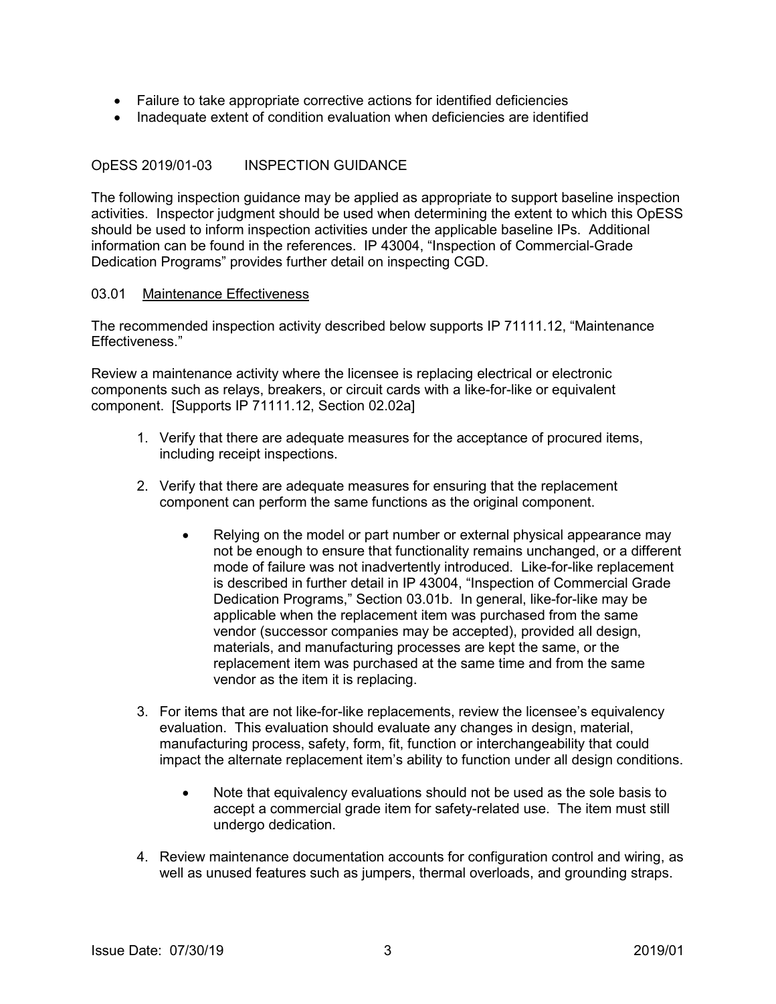- Failure to take appropriate corrective actions for identified deficiencies
- Inadequate extent of condition evaluation when deficiencies are identified

#### OpESS 2019/01-03 INSPECTION GUIDANCE

The following inspection guidance may be applied as appropriate to support baseline inspection activities. Inspector judgment should be used when determining the extent to which this OpESS should be used to inform inspection activities under the applicable baseline IPs. Additional information can be found in the references. IP 43004, "Inspection of Commercial-Grade Dedication Programs" provides further detail on inspecting CGD.

#### 03.01 Maintenance Effectiveness

The recommended inspection activity described below supports IP 71111.12, "Maintenance Effectiveness."

Review a maintenance activity where the licensee is replacing electrical or electronic components such as relays, breakers, or circuit cards with a like-for-like or equivalent component. [Supports IP 71111.12, Section 02.02a]

- 1. Verify that there are adequate measures for the acceptance of procured items, including receipt inspections.
- 2. Verify that there are adequate measures for ensuring that the replacement component can perform the same functions as the original component.
	- Relying on the model or part number or external physical appearance may not be enough to ensure that functionality remains unchanged, or a different mode of failure was not inadvertently introduced. Like-for-like replacement is described in further detail in IP 43004, "Inspection of Commercial Grade Dedication Programs," Section 03.01b. In general, like-for-like may be applicable when the replacement item was purchased from the same vendor (successor companies may be accepted), provided all design, materials, and manufacturing processes are kept the same, or the replacement item was purchased at the same time and from the same vendor as the item it is replacing.
- 3. For items that are not like-for-like replacements, review the licensee's equivalency evaluation. This evaluation should evaluate any changes in design, material, manufacturing process, safety, form, fit, function or interchangeability that could impact the alternate replacement item's ability to function under all design conditions.
	- Note that equivalency evaluations should not be used as the sole basis to accept a commercial grade item for safety-related use. The item must still undergo dedication.
- 4. Review maintenance documentation accounts for configuration control and wiring, as well as unused features such as jumpers, thermal overloads, and grounding straps.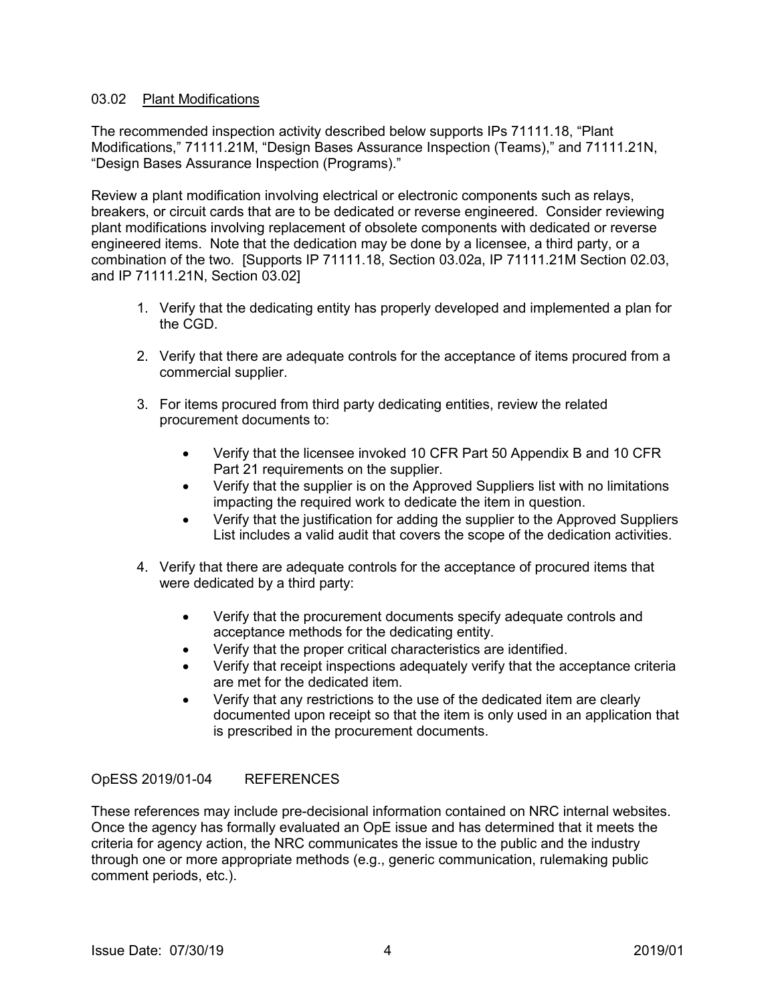#### 03.02 Plant Modifications

The recommended inspection activity described below supports IPs 71111.18, "Plant Modifications," 71111.21M, "Design Bases Assurance Inspection (Teams)," and 71111.21N, "Design Bases Assurance Inspection (Programs)."

Review a plant modification involving electrical or electronic components such as relays, breakers, or circuit cards that are to be dedicated or reverse engineered. Consider reviewing plant modifications involving replacement of obsolete components with dedicated or reverse engineered items. Note that the dedication may be done by a licensee, a third party, or a combination of the two. [Supports IP 71111.18, Section 03.02a, IP 71111.21M Section 02.03, and IP 71111.21N, Section 03.02]

- 1. Verify that the dedicating entity has properly developed and implemented a plan for the CGD.
- 2. Verify that there are adequate controls for the acceptance of items procured from a commercial supplier.
- 3. For items procured from third party dedicating entities, review the related procurement documents to:
	- Verify that the licensee invoked 10 CFR Part 50 Appendix B and 10 CFR Part 21 requirements on the supplier.
	- Verify that the supplier is on the Approved Suppliers list with no limitations impacting the required work to dedicate the item in question.
	- Verify that the justification for adding the supplier to the Approved Suppliers List includes a valid audit that covers the scope of the dedication activities.
- 4. Verify that there are adequate controls for the acceptance of procured items that were dedicated by a third party:
	- Verify that the procurement documents specify adequate controls and acceptance methods for the dedicating entity.
	- Verify that the proper critical characteristics are identified.
	- Verify that receipt inspections adequately verify that the acceptance criteria are met for the dedicated item.
	- Verify that any restrictions to the use of the dedicated item are clearly documented upon receipt so that the item is only used in an application that is prescribed in the procurement documents.

### OpESS 2019/01-04 REFERENCES

These references may include pre-decisional information contained on NRC internal websites. Once the agency has formally evaluated an OpE issue and has determined that it meets the criteria for agency action, the NRC communicates the issue to the public and the industry through one or more appropriate methods (e.g., generic communication, rulemaking public comment periods, etc.).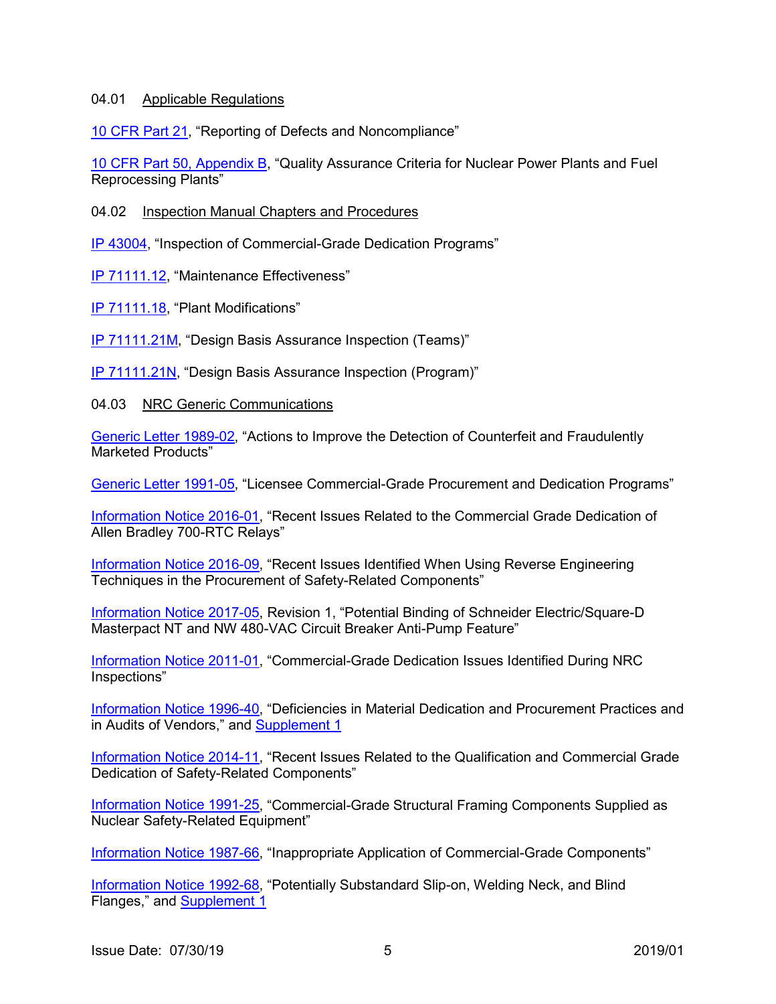#### 04.01 Applicable Regulations

[10 CFR Part 21,](https://www.nrc.gov/reading-rm/doc-collections/cfr/part021/full-text.html) "Reporting of Defects and Noncompliance"

[10 CFR Part 50, Appendix B,](https://www.nrc.gov/reading-rm/doc-collections/cfr/part050/part050-appb.html) "Quality Assurance Criteria for Nuclear Power Plants and Fuel Reprocessing Plants"

#### 04.02 Inspection Manual Chapters and Procedures

IP [43004,](https://www.nrc.gov/docs/ML1634/ML16344A092.pdf) "Inspection of Commercial-Grade Dedication Programs"

IP [71111.12,](https://www.nrc.gov/docs/ML1502/ML15023A102.pdf) "Maintenance Effectiveness"

IP [71111.18,](https://www.nrc.gov/docs/ML1817/ML18176A157.pdf) "Plant Modifications"

IP [71111.21M,](https://www.nrc.gov/docs/ML1634/ML16340B000.pdf) "Design Basis Assurance Inspection (Teams)"

IP [71111.21N,](https://www.nrc.gov/docs/ML1903/ML19036A556.pdf) "Design Basis Assurance Inspection (Program)"

#### 04.03 NRC Generic Communications

[Generic Letter 1989-02,](https://www.nrc.gov/reading-rm/doc-collections/gen-comm/gen-letters/1989/gl89002.html) "Actions to Improve the Detection of Counterfeit and Fraudulently Marketed Products"

[Generic Letter 1991-05,](https://www.nrc.gov/reading-rm/doc-collections/gen-comm/gen-letters/1991/gl91005.html) "Licensee Commercial-Grade Procurement and Dedication Programs"

[Information Notice 2016-01,](https://www.nrc.gov/docs/ML1529/ML15295A173.pdf) "Recent Issues Related to the Commercial Grade Dedication of Allen Bradley 700-RTC Relays"

[Information Notice 2016-09,](https://www.nrc.gov/docs/ML1607/ML16075A285.pdf) "Recent Issues Identified When Using Reverse Engineering Techniques in the Procurement of Safety-Related Components"

[Information Notice 2017-05,](https://www.nrc.gov/docs/ML1731/ML17311A081.pdf) Revision 1, "Potential Binding of Schneider Electric/Square-D Masterpact NT and NW 480-VAC Circuit Breaker Anti-Pump Feature"

[Information Notice 2011-01,](https://www.nrc.gov/docs/ML1032/ML103220180.pdf) "Commercial-Grade Dedication Issues Identified During NRC Inspections"

[Information Notice 1996-40,](https://www.nrc.gov/reading-rm/doc-collections/gen-comm/info-notices/1996/in96040.html) "Deficiencies in Material Dedication and Procurement Practices and in Audits of Vendors," and [Supplement 1](https://www.nrc.gov/reading-rm/doc-collections/gen-comm/info-notices/1996/in96040s1.html)

[Information Notice 2014-11,](https://www.nrc.gov/docs/ML1414/ML14149A520.pdf) "Recent Issues Related to the Qualification and Commercial Grade Dedication of Safety-Related Components"

[Information Notice 1991-25,](https://www.nrc.gov/reading-rm/doc-collections/gen-comm/info-notices/1991/in91025.html) "Commercial-Grade Structural Framing Components Supplied as Nuclear Safety-Related Equipment"

[Information Notice 1987-66,](https://www.nrc.gov/reading-rm/doc-collections/gen-comm/info-notices/1987/in87066.html) "Inappropriate Application of Commercial-Grade Components"

[Information Notice 1992-68,](https://www.nrc.gov/reading-rm/doc-collections/gen-comm/info-notices/1992/in92068.html) "Potentially Substandard Slip-on, Welding Neck, and Blind Flanges," and [Supplement 1](https://www.nrc.gov/reading-rm/doc-collections/gen-comm/info-notices/1992/in92068s1.html)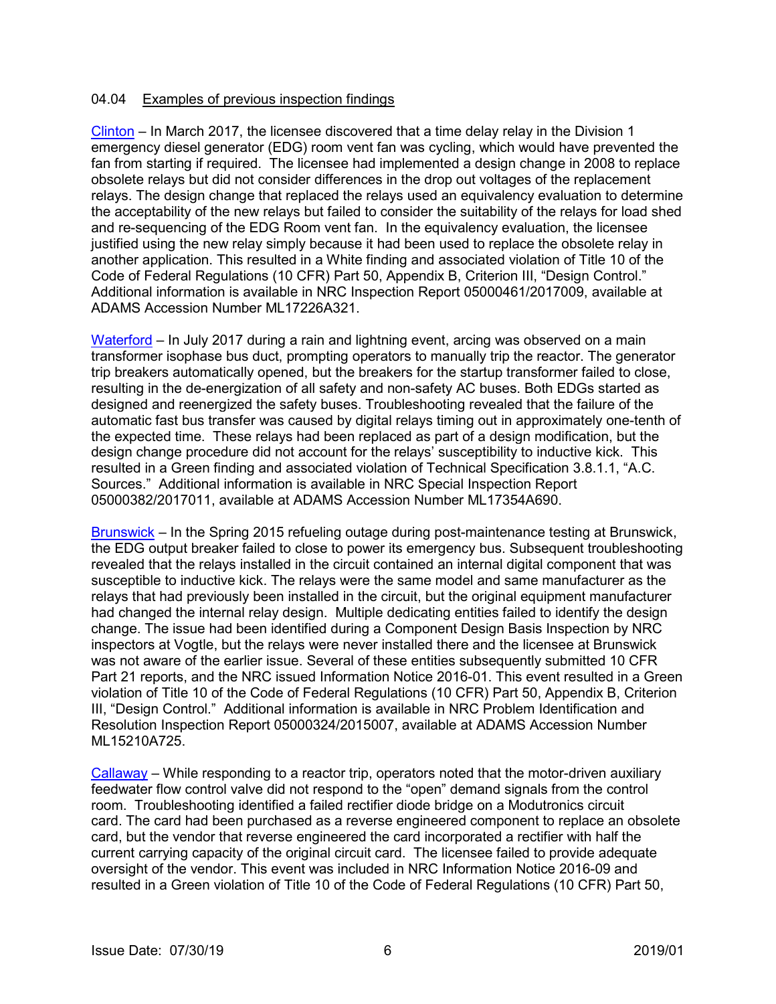#### 04.04 Examples of previous inspection findings

[Clinton](https://www.nrc.gov/docs/ML1722/ML17226A321.pdf) – In March 2017, the licensee discovered that a time delay relay in the Division 1 emergency diesel generator (EDG) room vent fan was cycling, which would have prevented the fan from starting if required. The licensee had implemented a design change in 2008 to replace obsolete relays but did not consider differences in the drop out voltages of the replacement relays. The design change that replaced the relays used an equivalency evaluation to determine the acceptability of the new relays but failed to consider the suitability of the relays for load shed and re-sequencing of the EDG Room vent fan. In the equivalency evaluation, the licensee justified using the new relay simply because it had been used to replace the obsolete relay in another application. This resulted in a White finding and associated violation of Title 10 of the Code of Federal Regulations (10 CFR) Part 50, Appendix B, Criterion III, "Design Control." Additional information is available in NRC Inspection Report 05000461/2017009, available at ADAMS Accession Number ML17226A321.

[Waterford](https://www.nrc.gov/docs/ML1735/ML17354A690.pdf) – In July 2017 during a rain and lightning event, arcing was observed on a main transformer isophase bus duct, prompting operators to manually trip the reactor. The generator trip breakers automatically opened, but the breakers for the startup transformer failed to close, resulting in the de-energization of all safety and non-safety AC buses. Both EDGs started as designed and reenergized the safety buses. Troubleshooting revealed that the failure of the automatic fast bus transfer was caused by digital relays timing out in approximately one-tenth of the expected time. These relays had been replaced as part of a design modification, but the design change procedure did not account for the relays' susceptibility to inductive kick. This resulted in a Green finding and associated violation of Technical Specification 3.8.1.1, "A.C. Sources." Additional information is available in NRC Special Inspection Report 05000382/2017011, available at ADAMS Accession Number ML17354A690.

[Brunswick](https://www.nrc.gov/docs/ML1521/ML15210A725.pdf) – In the Spring 2015 refueling outage during post-maintenance testing at Brunswick, the EDG output breaker failed to close to power its emergency bus. Subsequent troubleshooting revealed that the relays installed in the circuit contained an internal digital component that was susceptible to inductive kick. The relays were the same model and same manufacturer as the relays that had previously been installed in the circuit, but the original equipment manufacturer had changed the internal relay design. Multiple dedicating entities failed to identify the design change. The issue had been identified during a Component Design Basis Inspection by NRC inspectors at Vogtle, but the relays were never installed there and the licensee at Brunswick was not aware of the earlier issue. Several of these entities subsequently submitted 10 CFR Part 21 reports, and the NRC issued Information Notice 2016-01. This event resulted in a Green violation of Title 10 of the Code of Federal Regulations (10 CFR) Part 50, Appendix B, Criterion III, "Design Control." Additional information is available in NRC Problem Identification and Resolution Inspection Report 05000324/2015007, available at ADAMS Accession Number ML15210A725.

[Callaway](https://www.nrc.gov/docs/ML1601/ML16013A021.pdf) – While responding to a reactor trip, operators noted that the motor-driven auxiliary feedwater flow control valve did not respond to the "open" demand signals from the control room. Troubleshooting identified a failed rectifier diode bridge on a Modutronics circuit card. The card had been purchased as a reverse engineered component to replace an obsolete card, but the vendor that reverse engineered the card incorporated a rectifier with half the current carrying capacity of the original circuit card. The licensee failed to provide adequate oversight of the vendor. This event was included in NRC Information Notice 2016-09 and resulted in a Green violation of Title 10 of the Code of Federal Regulations (10 CFR) Part 50,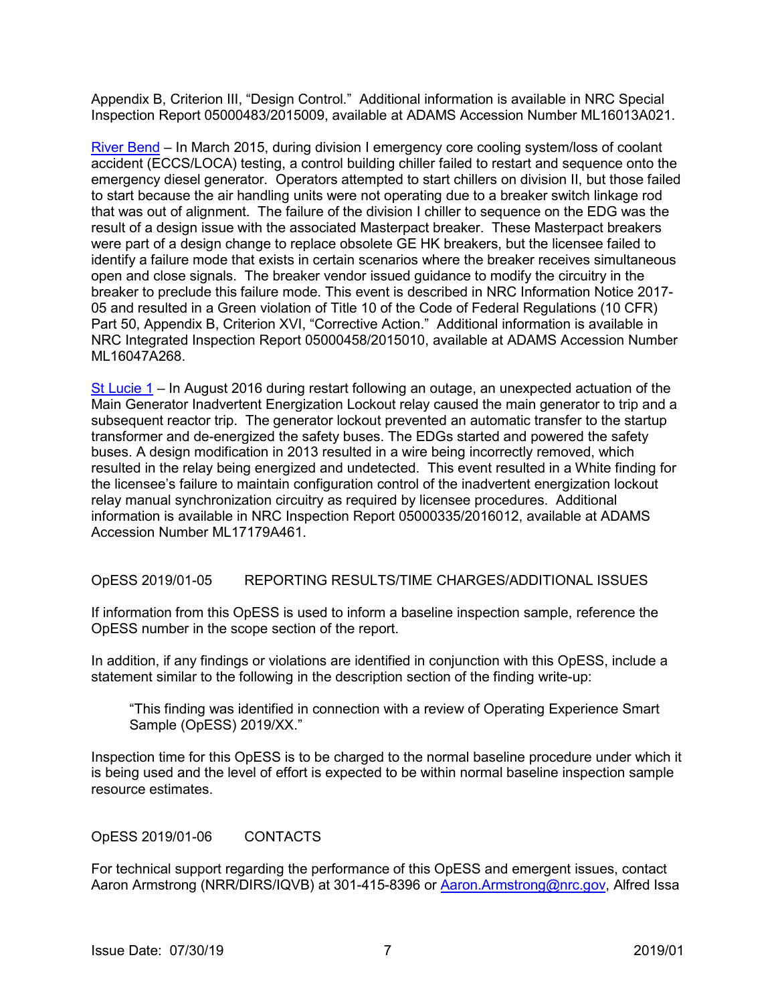Appendix B, Criterion III, "Design Control." Additional information is available in NRC Special Inspection Report 05000483/2015009, available at ADAMS Accession Number ML16013A021.

[River Bend](https://www.nrc.gov/docs/ML1604/ML16047A268.pdf) – In March 2015, during division I emergency core cooling system/loss of coolant accident (ECCS/LOCA) testing, a control building chiller failed to restart and sequence onto the emergency diesel generator. Operators attempted to start chillers on division II, but those failed to start because the air handling units were not operating due to a breaker switch linkage rod that was out of alignment. The failure of the division I chiller to sequence on the EDG was the result of a design issue with the associated Masterpact breaker. These Masterpact breakers were part of a design change to replace obsolete GE HK breakers, but the licensee failed to identify a failure mode that exists in certain scenarios where the breaker receives simultaneous open and close signals. The breaker vendor issued guidance to modify the circuitry in the breaker to preclude this failure mode. This event is described in NRC Information Notice 2017- 05 and resulted in a Green violation of Title 10 of the Code of Federal Regulations (10 CFR) Part 50, Appendix B, Criterion XVI, "Corrective Action." Additional information is available in NRC Integrated Inspection Report 05000458/2015010, available at ADAMS Accession Number ML16047A268.

[St Lucie 1](https://www.nrc.gov/docs/ML1717/ML17179A461.pdf) – In August 2016 during restart following an outage, an unexpected actuation of the Main Generator Inadvertent Energization Lockout relay caused the main generator to trip and a subsequent reactor trip. The generator lockout prevented an automatic transfer to the startup transformer and de-energized the safety buses. The EDGs started and powered the safety buses. A design modification in 2013 resulted in a wire being incorrectly removed, which resulted in the relay being energized and undetected. This event resulted in a White finding for the licensee's failure to maintain configuration control of the inadvertent energization lockout relay manual synchronization circuitry as required by licensee procedures. Additional information is available in NRC Inspection Report 05000335/2016012, available at ADAMS Accession Number ML17179A461.

#### OpESS 2019/01-05 REPORTING RESULTS/TIME CHARGES/ADDITIONAL ISSUES

If information from this OpESS is used to inform a baseline inspection sample, reference the OpESS number in the scope section of the report.

In addition, if any findings or violations are identified in conjunction with this OpESS, include a statement similar to the following in the description section of the finding write-up:

"This finding was identified in connection with a review of Operating Experience Smart Sample (OpESS) 2019/XX."

Inspection time for this OpESS is to be charged to the normal baseline procedure under which it is being used and the level of effort is expected to be within normal baseline inspection sample resource estimates.

OpESS 2019/01-06 CONTACTS

For technical support regarding the performance of this OpESS and emergent issues, contact Aaron Armstrong (NRR/DIRS/IQVB) at 301-415-8396 or [Aaron.Armstrong@nrc.gov,](mailto:Aaron.Armstrong@nrc.gov) Alfred Issa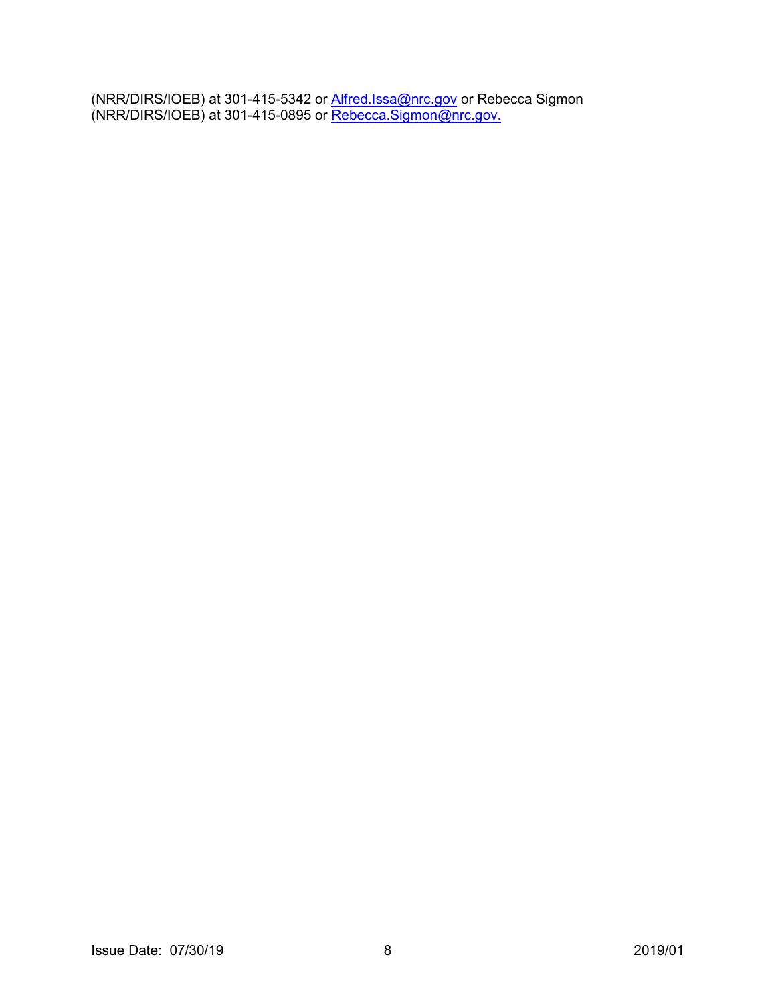(NRR/DIRS/IOEB) at 301-415-5342 or <u>Alfred.Issa@nrc.gov</u> or Rebecca Sigmon (NRR/DIRS/IOEB) at 301-415-0895 or <u>Rebecca.Sigmon@nrc.gov.</u>